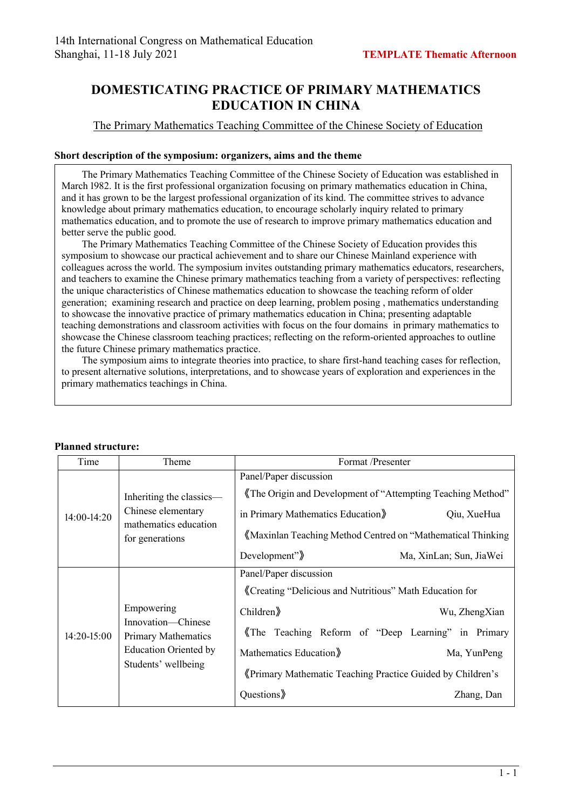## **DOMESTICATING PRACTICE OF PRIMARY MATHEMATICS EDUCATION IN CHINA**

## The Primary Mathematics Teaching Committee of the Chinese Society of Education

## **Short description of the symposium: organizers, aims and the theme**

The Primary Mathematics Teaching Committee of the Chinese Society of Education was established in March 1982. It is the first professional organization focusing on primary mathematics education in China, and it has grown to be the largest professional organization of its kind. The committee strives to advance knowledge about primary mathematics education, to encourage scholarly inquiry related to primary mathematics education, and to promote the use of research to improve primary mathematics education and better serve the public good.

The Primary Mathematics Teaching Committee of the Chinese Society of Education provides this symposium to showcase our practical achievement and to share our Chinese Mainland experience with colleagues across the world. The symposium invites outstanding primary mathematics educators, researchers, and teachers to examine the Chinese primary mathematics teaching from a variety of perspectives: reflecting the unique characteristics of Chinese mathematics education to showcase the teaching reform of older generation; examining research and practice on deep learning, problem posing , mathematics understanding to showcase the innovative practice of primary mathematics education in China; presenting adaptable teaching demonstrations and classroom activities with focus on the four domains in primary mathematics to showcase the Chinese classroom teaching practices; reflecting on the reform-oriented approaches to outline the future Chinese primary mathematics practice.

The symposium aims to integrate theories into practice, to share first-hand teaching cases for reflection, to present alternative solutions, interpretations, and to showcase years of exploration and experiences in the primary mathematics teachings in China.

| Time          | Theme                                                                                                                 | Format /Presenter                                                                                                                                                                                                                                      |                                            |
|---------------|-----------------------------------------------------------------------------------------------------------------------|--------------------------------------------------------------------------------------------------------------------------------------------------------------------------------------------------------------------------------------------------------|--------------------------------------------|
| 14:00-14:20   | Inheriting the classics-<br>Chinese elementary<br>mathematics education<br>for generations                            | Panel/Paper discussion<br>The Origin and Development of "Attempting Teaching Method"<br>in Primary Mathematics Education<br>«Maxinlan Teaching Method Centred on "Mathematical Thinking"<br>Development" $\rangle$                                     | Qiu, XueHua<br>Ma, XinLan; Sun, JiaWei     |
| $14:20-15:00$ | Empowering<br>Innovation—Chinese<br><b>Primary Mathematics</b><br><b>Education Oriented by</b><br>Students' wellbeing | Panel/Paper discussion<br>«Creating "Delicious and Nutritious" Math Education for<br>Children<br>The Teaching Reform of "Deep Learning" in Primary<br>Mathematics Education<br>«Primary Mathematic Teaching Practice Guided by Children's<br>Questions | Wu, ZhengXian<br>Ma, YunPeng<br>Zhang, Dan |

## **Planned structure:**